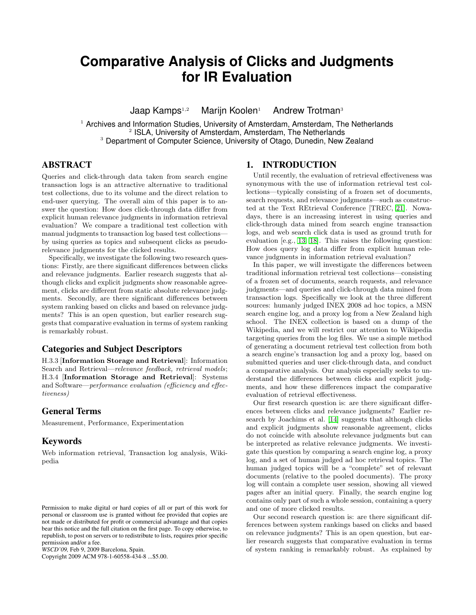# **Comparative Analysis of Clicks and Judgments for IR Evaluation**

Jaap Kamps $1,2$  Marijn Koolen<sup>1</sup> Andrew Trotman<sup>3</sup>

 $<sup>1</sup>$  Archives and Information Studies, University of Amsterdam, Amsterdam, The Netherlands</sup> 2 ISLA, University of Amsterdam, Amsterdam, The Netherlands <sup>3</sup> Department of Computer Science, University of Otago, Dunedin, New Zealand

# ABSTRACT

Queries and click-through data taken from search engine transaction logs is an attractive alternative to traditional test collections, due to its volume and the direct relation to end-user querying. The overall aim of this paper is to answer the question: How does click-through data differ from explicit human relevance judgments in information retrieval evaluation? We compare a traditional test collection with manual judgments to transaction log based test collections by using queries as topics and subsequent clicks as pseudorelevance judgments for the clicked results.

Specifically, we investigate the following two research questions: Firstly, are there significant differences between clicks and relevance judgments. Earlier research suggests that although clicks and explicit judgments show reasonable agreement, clicks are different from static absolute relevance judgments. Secondly, are there significant differences between system ranking based on clicks and based on relevance judgments? This is an open question, but earlier research suggests that comparative evaluation in terms of system ranking is remarkably robust.

# Categories and Subject Descriptors

H.3.3 [Information Storage and Retrieval]: Information Search and Retrieval—relevance feedback, retrieval models; H.3.4 [Information Storage and Retrieval]: Systems and Software—performance evaluation (efficiency and effectiveness)

#### General Terms

Measurement, Performance, Experimentation

#### Keywords

Web information retrieval, Transaction log analysis, Wikipedia

Copyright 2009 ACM 978-1-60558-434-8 ...\$5.00.

### 1. INTRODUCTION

Until recently, the evaluation of retrieval effectiveness was synonymous with the use of information retrieval test collections—typically consisting of a frozen set of documents, search requests, and relevance judgments—such as constructed at the Text REtrieval Conference [TREC, [21\]](#page-7-0). Nowadays, there is an increasing interest in using queries and click-through data mined from search engine transaction logs, and web search click data is used as ground truth for evaluation [e.g., [13,](#page-7-1) [18\]](#page-7-2). This raises the following question: How does query log data differ from explicit human relevance judgments in information retrieval evaluation?

In this paper, we will investigate the differences between traditional information retrieval test collections—consisting of a frozen set of documents, search requests, and relevance judgments—and queries and click-through data mined from transaction logs. Specifically we look at the three different sources: humanly judged INEX 2008 ad hoc topics, a MSN search engine log, and a proxy log from a New Zealand high school. The INEX collection is based on a dump of the Wikipedia, and we will restrict our attention to Wikipedia targeting queries from the log files. We use a simple method of generating a document retrieval test collection from both a search engine's transaction log and a proxy log, based on submitted queries and user click-through data, and conduct a comparative analysis. Our analysis especially seeks to understand the differences between clicks and explicit judgments, and how these differences impact the comparative evaluation of retrieval effectiveness.

Our first research question is: are there significant differences between clicks and relevance judgments? Earlier research by Joachims et al. [\[14\]](#page-7-3) suggests that although clicks and explicit judgments show reasonable agreement, clicks do not coincide with absolute relevance judgments but can be interpreted as relative relevance judgments. We investigate this question by comparing a search engine log, a proxy log, and a set of human judged ad hoc retrieval topics. The human judged topics will be a "complete" set of relevant documents (relative to the pooled documents). The proxy log will contain a complete user session, showing all viewed pages after an initial query. Finally, the search engine log contains only part of such a whole session, containing a query and one of more clicked results.

Our second research question is: are there significant differences between system rankings based on clicks and based on relevance judgments? This is an open question, but earlier research suggests that comparative evaluation in terms of system ranking is remarkably robust. As explained by

Permission to make digital or hard copies of all or part of this work for personal or classroom use is granted without fee provided that copies are not made or distributed for profit or commercial advantage and that copies bear this notice and the full citation on the first page. To copy otherwise, to republish, to post on servers or to redistribute to lists, requires prior specific permission and/or a fee.

*WSCD'09,* Feb 9, 2009 Barcelona, Spain.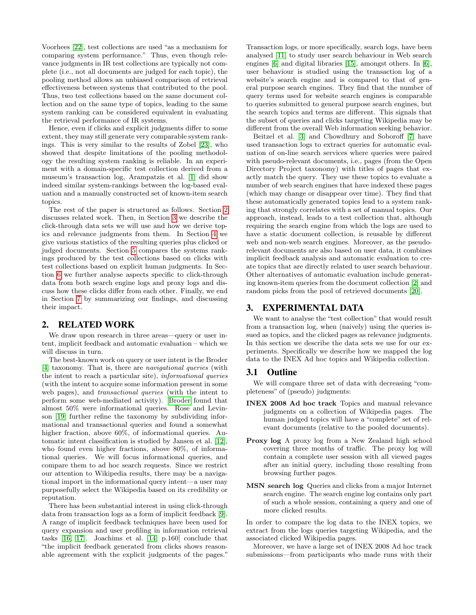Voorhees [\[22\]](#page-7-4), test collections are used "as a mechanism for comparing system performance." Thus, even though relevance judgments in IR test collections are typically not complete (i.e., not all documents are judged for each topic), the pooling method allows an unbiased comparison of retrieval effectiveness between systems that contributed to the pool. Thus, two test collections based on the same document collection and on the same type of topics, leading to the same system ranking can be considered equivalent in evaluating the retrieval performance of IR systems.

Hence, even if clicks and explicit judgments differ to some extent, they may still generate very comparable system rankings. This is very similar to the results of Zobel [\[23\]](#page-7-5), who showed that despite limitations of the pooling methodology the resulting system ranking is reliable. In an experiment with a domain-specific test collection derived from a museum's transaction log, Arampatzis et al. [\[1\]](#page-7-6) did show indeed similar system-rankings between the log-based evaluation and a manually constructed set of known-item search topics.

The rest of the paper is structured as follows. Section [2](#page-1-0) discusses related work. Then, in Section [3](#page-1-1) we describe the click-through data sets we will use and how we derive topics and relevance judgments from them. In Section [4](#page-2-0) we give various statistics of the resulting queries plus clicked or judged documents. Section [5](#page-4-0) compares the systems rankings produced by the test collections based on clicks with test collections based on explicit human judgments. In Section [6](#page-5-0) we further analyse aspects specific to click-through data from both search engine logs and proxy logs and discuss how these clicks differ from each other. Finally, we end in Section [7](#page-6-0) by summarizing our findings, and discussing their impact.

# <span id="page-1-0"></span>2. RELATED WORK

We draw upon research in three areas—query or user intent, implicit feedback and automatic evaluation – which we will discuss in turn.

The best-known work on query or user intent is the Broder [\[4\]](#page-7-7) taxonomy. That is, there are navigational queries (with the intent to reach a particular site), informational queries (with the intent to acquire some information present in some web pages), and transactional queries (with the intent to perform some web-mediated activity). [Broder](#page-7-7) found that almost 50% were informational queries. Rose and Levinson [\[19\]](#page-7-8) further refine the taxonomy by subdividing informational and transactional queries and found a somewhat higher fraction, above 60%, of informational queries. Automatic intent classification is studied by Jansen et al. [\[12\]](#page-7-9), who found even higher fractions, above 80%, of informational queries. We will focus informational queries, and compare them to ad hoc search requests. Since we restrict our attention to Wikipedia results, there may be a navigational import in the informational query intent—a user may purposefully select the Wikipedia based on its credibility or reputation.

There has been substantial interest in using click-through data from transaction logs as a form of implicit feedback [\[9\]](#page-7-10). A range of implicit feedback techniques have been used for query expansion and user profiling in information retrieval tasks [\[16,](#page-7-11) [17\]](#page-7-12). Joachims et al. [\[14,](#page-7-3) p.160] conclude that "the implicit feedback generated from clicks shows reasonable agreement with the explicit judgments of the pages." Transaction logs, or more specifically, search logs, have been analysed [\[11\]](#page-7-13) to study user search behaviour in Web search engines [\[6\]](#page-7-14) and digital libraries [\[15\]](#page-7-15), amongst others. In [\[6\]](#page-7-14), user behaviour is studied using the transaction log of a website's search engine and is compared to that of general purpose search engines. They find that the number of query terms used for website search engines is comparable to queries submitted to general purpose search engines, but the search topics and terms are different. This signals that the subset of queries and clicks targeting Wikipedia may be different from the overall Web information seeking behavior.

Beitzel et al. [\[3\]](#page-7-16) and Chowdhury and Soboroff [\[7\]](#page-7-17) have used transaction logs to extract queries for automatic evaluation of on-line search services where queries were paired with pseudo-relevant documents, i.e., pages (from the Open Directory Project taxonomy) with titles of pages that exactly match the query. They use these topics to evaluate a number of web search engines that have indexed these pages (which may change or disappear over time). They find that these automatically generated topics lead to a system ranking that strongly correlates with a set of manual topics. Our approach, instead, leads to a test collection that, although requiring the search engine from which the logs are used to have a static document collection, is reusable by different web and non-web search engines. Moreover, as the pseudorelevant documents are also based on user data, it combines implicit feedback analysis and automatic evaluation to create topics that are directly related to user search behaviour. Other alternatives of automatic evaluation include generating known-item queries from the document collection [\[2\]](#page-7-18) and random picks from the pool of retrieved documents [\[20\]](#page-7-19).

# <span id="page-1-1"></span>3. EXPERIMENTAL DATA

We want to analyse the "test collection" that would result from a transaction log, when (naively) using the queries issued as topics, and the clicked pages as relevance judgments. In this section we describe the data sets we use for our experiments. Specifically we describe how we mapped the log data to the INEX Ad hoc topics and Wikipedia collection.

#### 3.1 Outline

We will compare three set of data with decreasing "completeness" of (pseudo) judgments:

- INEX 2008 Ad hoc track Topics and manual relevance judgments on a collection of Wikipedia pages. The human judged topics will have a "complete" set of relevant documents (relative to the pooled documents).
- Proxy  $log A$  proxy  $log from a New Zealand high school$ covering three months of traffic. The proxy log will contain a complete user session with all viewed pages after an initial query, including those resulting from browsing further pages.
- MSN search log Queries and clicks from a major Internet search engine. The search engine log contains only part of such a whole session, containing a query and one of more clicked results.

In order to compare the log data to the INEX topics, we extract from the logs queries targeting Wikipedia, and the associated clicked Wikipedia pages.

Moreover, we have a large set of INEX 2008 Ad hoc track submissions—from participants who made runs with their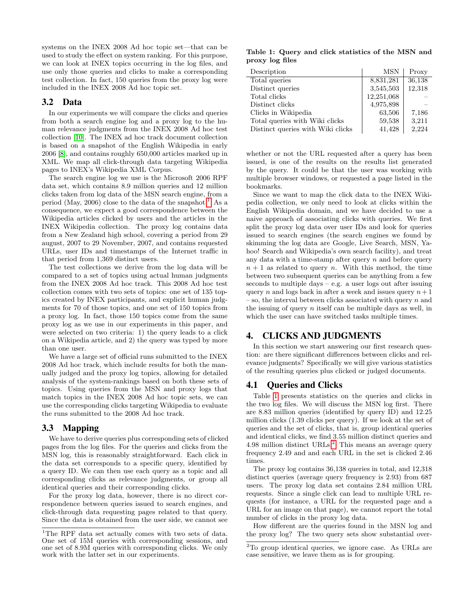systems on the INEX 2008 Ad hoc topic set—that can be used to study the effect on system ranking. For this purpose, we can look at INEX topics occurring in the log files, and use only those queries and clicks to make a corresponding test collection. In fact, 150 queries from the proxy log were included in the INEX 2008 Ad hoc topic set.

## 3.2 Data

In our experiments we will compare the clicks and queries from both a search engine log and a proxy log to the human relevance judgments from the INEX 2008 Ad hoc test collection [\[10\]](#page-7-20). The INEX ad hoc track document collection is based on a snapshot of the English Wikipedia in early 2006 [\[8\]](#page-7-21), and contains roughly 650,000 articles marked up in XML. We map all click-through data targeting Wikipedia pages to INEX's Wikipedia XML Corpus.

The search engine log we use is the Microsoft 2006 RPF data set, which contains 8.9 million queries and 12 million clicks taken from log data of the MSN search engine, from a period (May, 2006) close to the data of the snapshot.<sup>[1](#page-2-1)</sup> As a consequence, we expect a good correspondence between the Wikipedia articles clicked by users and the articles in the INEX Wikipedia collection. The proxy log contains data from a New Zealand high school, covering a period from 29 august, 2007 to 29 November, 2007, and contains requested URLs, user IDs and timestamps of the Internet traffic in that period from 1,369 distinct users.

The test collections we derive from the log data will be compared to a set of topics using actual human judgments from the INEX 2008 Ad hoc track. This 2008 Ad hoc test collection comes with two sets of topics: one set of 135 topics created by INEX participants, and explicit human judgments for 70 of those topics, and one set of 150 topics from a proxy log. In fact, those 150 topics come from the same proxy log as we use in our experiments in this paper, and were selected on two criteria: 1) the query leads to a click on a Wikipedia article, and 2) the query was typed by more than one user.

We have a large set of official runs submitted to the INEX 2008 Ad hoc track, which include results for both the manually judged and the proxy log topics, allowing for detailed analysis of the system-rankings based on both these sets of topics. Using queries from the MSN and proxy logs that match topics in the INEX 2008 Ad hoc topic sets, we can use the corresponding clicks targeting Wikipedia to evaluate the runs submitted to the 2008 Ad hoc track.

# 3.3 Mapping

We have to derive queries plus corresponding sets of clicked pages from the log files. For the queries and clicks from the MSN log, this is reasonably straightforward. Each click in the data set corresponds to a specific query, identified by a query ID. We can then use each query as a topic and all corresponding clicks as relevance judgments, or group all identical queries and their corresponding clicks.

For the proxy log data, however, there is no direct correspondence between queries issued to search engines, and click-through data requesting pages related to that query. Since the data is obtained from the user side, we cannot see

<span id="page-2-2"></span>Table 1: Query and click statistics of the MSN and proxy log files

| Description                       | <b>MSN</b> | Proxy  |
|-----------------------------------|------------|--------|
| Total queries                     | 8,831,281  | 36,138 |
| Distinct queries                  | 3,545,503  | 12,318 |
| Total clicks                      | 12,251,068 |        |
| Distinct clicks                   | 4,975,898  |        |
| Clicks in Wikipedia               | 63,506     | 7,186  |
| Total queries with Wiki clicks    | 59,538     | 3,211  |
| Distinct queries with Wiki clicks | 41,428     | 2.224  |

whether or not the URL requested after a query has been issued, is one of the results on the results list generated by the query. It could be that the user was working with multiple browser windows, or requested a page listed in the bookmarks.

Since we want to map the click data to the INEX Wikipedia collection, we only need to look at clicks within the English Wikipedia domain, and we have decided to use a naive approach of associating clicks with queries. We first split the proxy log data over user IDs and look for queries issued to search engines (the search engines we found by skimming the log data are Google, Live Search, MSN, Yahoo! Search and Wikipedia's own search facility), and treat any data with a time-stamp after query  $n$  and before query  $n + 1$  as related to query n. With this method, the time between two subsequent queries can be anything from a few seconds to multiple days  $-e.g.$  a user logs out after issuing query n and logs back in after a week and issues query  $n+1$  $-$  so, the interval between clicks associated with query n and the issuing of query  $n$  itself can be multiple days as well, in which the user can have switched tasks multiple times.

# <span id="page-2-0"></span>4. CLICKS AND JUDGMENTS

In this section we start answering our first research question: are there significant differences between clicks and relevance judgments? Specifically we will give various statistics of the resulting queries plus clicked or judged documents.

# 4.1 Queries and Clicks

Table [1](#page-2-2) presents statistics on the queries and clicks in the two log files. We will discuss the MSN log first. There are 8.83 million queries (identified by query ID) and 12.25 million clicks (1.39 clicks per query). If we look at the set of queries and the set of clicks, that is, group identical queries and identical clicks, we find 3.55 million distinct queries and 4.98 million distinct  $\text{URLs.}^2$  $\text{URLs.}^2$ . This means an average query frequency 2.49 and and each URL in the set is clicked 2.46 times.

The proxy log contains 36,138 queries in total, and 12,318 distinct queries (average query frequency is 2.93) from 687 users. The proxy log data set contains 2.84 million URL requests. Since a single click can lead to multiple URL requests (for instance, a URL for the requested page and a URL for an image on that page), we cannot report the total number of clicks in the proxy log data.

How different are the queries found in the MSN log and the proxy log? The two query sets show substantial over-

<span id="page-2-1"></span> $^1\rm{The}$  RPF data set actually comes with two sets of data. One set of 15M queries with corresponding sessions, and one set of 8.9M queries with corresponding clicks. We only work with the latter set in our experiments.

<span id="page-2-3"></span><sup>2</sup>To group identical queries, we ignore case. As URLs are case sensitive, we leave them as is for grouping.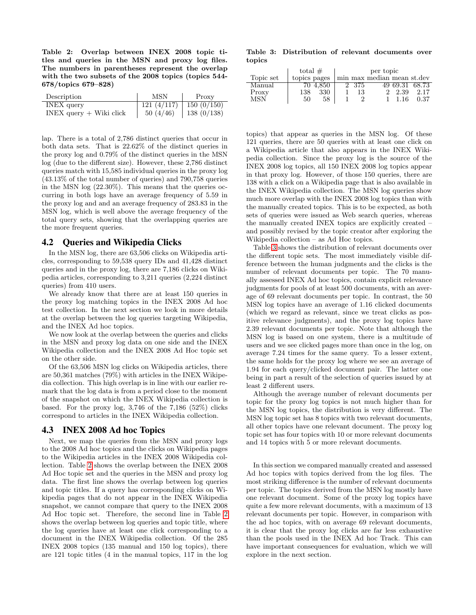<span id="page-3-0"></span>Table 2: Overlap between INEX 2008 topic titles and queries in the MSN and proxy log files. The numbers in parentheses represent the overlap with the two subsets of the 2008 topics (topics 544- 678/topics 679–828)

| Description                 | MSN                         | Proxy         |
|-----------------------------|-----------------------------|---------------|
| <b>INEX</b> query           | $121 (4/117)$   150 (0/150) |               |
| $INEX$ query $+$ Wiki click | 50(4/46)                    | 138 $(0/138)$ |

lap. There is a total of 2,786 distinct queries that occur in both data sets. That is 22.62% of the distinct queries in the proxy log and 0.79% of the distinct queries in the MSN log (due to the different size). However, these 2,786 distinct queries match with 15,585 individual queries in the proxy log (43.13% of the total number of queries) and 790,758 queries in the MSN log (22.30%). This means that the queries occurring in both logs have an average frequency of 5.59 in the proxy log and and an average frequency of 283.83 in the MSN log, which is well above the average frequency of the total query sets, showing that the overlapping queries are the more frequent queries.

### 4.2 Queries and Wikipedia Clicks

In the MSN log, there are 63,506 clicks on Wikipedia articles, corresponding to 59,538 query IDs and 41,428 distinct queries and in the proxy log, there are 7,186 clicks on Wikipedia articles, corresponding to 3,211 queries (2,224 distinct queries) from 410 users.

We already know that there are at least 150 queries in the proxy log matching topics in the INEX 2008 Ad hoc test collection. In the next section we look in more details at the overlap between the log queries targeting Wikipedia, and the INEX Ad hoc topics.

We now look at the overlap between the queries and clicks in the MSN and proxy log data on one side and the INEX Wikipedia collection and the INEX 2008 Ad Hoc topic set on the other side.

Of the 63,506 MSN log clicks on Wikipedia articles, there are 50,361 matches (79%) with articles in the INEX Wikipedia collection. This high overlap is in line with our earlier remark that the log data is from a period close to the moment of the snapshot on which the INEX Wikipedia collection is based. For the proxy log,  $3,746$  of the  $7,186$  ( $52\%$ ) clicks correspond to articles in the INEX Wikipedia collection.

#### 4.3 INEX 2008 Ad hoc Topics

Next, we map the queries from the MSN and proxy logs to the 2008 Ad hoc topics and the clicks on Wikipedia pages to the Wikipedia articles in the INEX 2008 Wikipedia collection. Table [2](#page-3-0) shows the overlap between the INEX 2008 Ad Hoc topic set and the queries in the MSN and proxy log data. The first line shows the overlap between log queries and topic titles. If a query has corresponding clicks on Wikipedia pages that do not appear in the INEX Wikipedia snapshot, we cannot compare that query to the INEX 2008 Ad Hoc topic set. Therefore, the second line in Table [2](#page-3-0) shows the overlap between log queries and topic title, where the log queries have at least one click corresponding to a document in the INEX Wikipedia collection. Of the 285 INEX 2008 topics (135 manual and 150 log topics), there are 121 topic titles (4 in the manual topics, 117 in the log

<span id="page-3-1"></span>Table 3: Distribution of relevant documents over topics

|           | total $#$    |          | per topic |       |                            |                |                |
|-----------|--------------|----------|-----------|-------|----------------------------|----------------|----------------|
| Topic set | topics pages |          |           |       | min max median mean st.dev |                |                |
| Manual    |              | 70 4.850 |           | 2 375 |                            |                | 49 69.31 68.73 |
| Proxy     | 138          | 330      |           | 13    |                            | 2 2.39         | 2.17           |
| MSN       | 50           | 58       |           |       |                            | $1 \quad 1.16$ | 0.37           |

topics) that appear as queries in the MSN log. Of these 121 queries, there are 50 queries with at least one click on a Wikipedia article that also appears in the INEX Wikipedia collection. Since the proxy log is the source of the INEX 2008 log topics, all 150 INEX 2008 log topics appear in that proxy log. However, of those 150 queries, there are 138 with a click on a Wikipedia page that is also available in the INEX Wikipedia collection. The MSN log queries show much more overlap with the INEX 2008 log topics than with the manually created topics. This is to be expected, as both sets of queries were issued as Web search queries, whereas the manually created INEX topics are explicitly created – and possibly revised by the topic creator after exploring the Wikipedia collection – as Ad Hoc topics.

Table [3](#page-3-1) shows the distribution of relevant documents over the different topic sets. The most immediately visible difference between the human judgments and the clicks is the number of relevant documents per topic. The 70 manually assessed INEX Ad hoc topics, contain explicit relevance judgments for pools of at least 500 documents, with an average of 69 relevant documents per topic. In contrast, the 50 MSN log topics have an average of 1.16 clicked documents (which we regard as relevant, since we treat clicks as positive relevance judgments), and the proxy log topics have 2.39 relevant documents per topic. Note that although the MSN log is based on one system, there is a multitude of users and we see clicked pages more than once in the log, on average 7.24 times for the same query. To a lesser extent, the same holds for the proxy log where we see an average of 1.94 for each query/clicked document pair. The latter one being in part a result of the selection of queries issued by at least 2 different users.

Although the average number of relevant documents per topic for the proxy log topics is not much higher than for the MSN log topics, the distribution is very different. The MSN log topic set has 8 topics with two relevant documents, all other topics have one relevant document. The proxy log topic set has four topics with 10 or more relevant documents and 14 topics with 5 or more relevant documents.

In this section we compared manually created and assessed Ad hoc topics with topics derived from the log files. The most striking difference is the number of relevant documents per topic. The topics derived from the MSN log mostly have one relevant document. Some of the proxy log topics have quite a few more relevant documents, with a maximum of 13 relevant documents per topic. However, in comparison with the ad hoc topics, with on average 69 relevant documents, it is clear that the proxy log clicks are far less exhaustive than the pools used in the INEX Ad hoc Track. This can have important consequences for evaluation, which we will explore in the next section.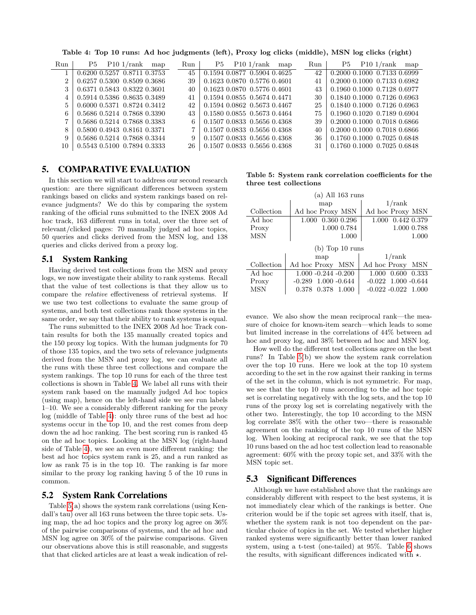<span id="page-4-1"></span>Table 4: Top 10 runs: Ad hoc judgments (left), Proxy log clicks (middle), MSN log clicks (right)

| Run                         | P5 | P101/rank                   | map | Run | P5 | P101/rank                   | map | Run | P5 | P10 1/rank                  | map |
|-----------------------------|----|-----------------------------|-----|-----|----|-----------------------------|-----|-----|----|-----------------------------|-----|
|                             |    | 0.6200 0.5257 0.8711 0.3753 |     | 45  |    | 0.1594 0.0877 0.5904 0.4625 |     | 42  |    | 0.2000 0.1000 0.7133 0.6999 |     |
| $\mathcal{D}_{\mathcal{L}}$ |    | 0.6257 0.5300 0.8509 0.3686 |     | 39  |    | 0.1623 0.0870 0.5776 0.4601 |     | 41  |    | 0.2000 0.1000 0.7133 0.6982 |     |
| 3                           |    | 0.6371 0.5843 0.8322 0.3601 |     | 40  |    | 0.1623 0.0870 0.5776 0.4601 |     | 43  |    | 0.1960 0.1000 0.7128 0.6977 |     |
|                             |    | 0.5914 0.5386 0.8635 0.3489 |     | 41  |    | 0.1594 0.0855 0.5674 0.4471 |     | 30  |    | 0.1840 0.1000 0.7126 0.6963 |     |
| 5                           |    | 0.6000 0.5371 0.8724 0.3412 |     | 42  |    | 0.1594 0.0862 0.5673 0.4467 |     | 25  |    | 0.1840 0.1000 0.7126 0.6963 |     |
| 6.                          |    | 0.5686 0.5214 0.7868 0.3390 |     | 43  |    | 0.1580 0.0855 0.5673 0.4464 |     | 75  |    | 0.1960 0.1020 0.7189 0.6904 |     |
|                             |    | 0.5686 0.5214 0.7868 0.3383 |     | 6   |    | 0.1507 0.0833 0.5656 0.4368 |     | 39  |    | 0.2000 0.1000 0.7018 0.6866 |     |
| 8                           |    | 0.5800 0.4943 0.8161 0.3371 |     |     |    | 0.1507 0.0833 0.5656 0.4368 |     | 40  |    | 0.2000 0.1000 0.7018 0.6866 |     |
| 9                           |    | 0.5686 0.5214 0.7868 0.3344 |     | 9   |    | 0.1507 0.0833 0.5656 0.4368 |     | 36  |    | 0.1760 0.1000 0.7025 0.6848 |     |
| 10                          |    | 0.5543 0.5100 0.7894 0.3333 |     | 26  |    | 0.1507 0.0833 0.5656 0.4368 |     | 31  |    | 0.1760 0.1000 0.7025 0.6848 |     |

#### <span id="page-4-0"></span>5. COMPARATIVE EVALUATION

In this section we will start to address our second research question: are there significant differences between system rankings based on clicks and system rankings based on relevance judgments? We do this by comparing the system ranking of the official runs submitted to the INEX 2008 Ad hoc track, 163 different runs in total, over the three set of relevant/clicked pages: 70 manually judged ad hoc topics, 50 queries and clicks derived from the MSN log, and 138 queries and clicks derived from a proxy log.

#### 5.1 System Ranking

Having derived test collections from the MSN and proxy logs, we now investigate their ability to rank systems. Recall that the value of test collections is that they allow us to compare the relative effectiveness of retrieval systems. If we use two test collections to evaluate the same group of systems, and both test collections rank those systems in the same order, we say that their ability to rank systems is equal.

The runs submitted to the INEX 2008 Ad hoc Track contain results for both the 135 manually created topics and the 150 proxy log topics. With the human judgments for 70 of those 135 topics, and the two sets of relevance judgments derived from the MSN and proxy log, we can evaluate all the runs with these three test collections and compare the system rankings. The top 10 runs for each of the three test collections is shown in Table [4.](#page-4-1) We label all runs with their system rank based on the manually judged Ad hoc topics (using map), hence on the left-hand side we see run labels 1–10. We see a considerably different ranking for the proxy log (middle of Table [4\)](#page-4-1): only three runs of the best ad hoc systems occur in the top 10, and the rest comes from deep down the ad hoc ranking. The best scoring run is ranked 45 on the ad hoc topics. Looking at the MSN log (right-hand side of Table [4\)](#page-4-1), we see an even more different ranking: the best ad hoc topics system rank is 25, and a run ranked as low as rank 75 is in the top 10. The ranking is far more similar to the proxy log ranking having 5 of the 10 runs in common.

## 5.2 System Rank Correlations

Table [5\(](#page-4-2)a) shows the system rank correlations (using Kendall's tau) over all 163 runs between the three topic sets. Using map, the ad hoc topics and the proxy log agree on 36% of the pairwise comparisons of systems, and the ad hoc and MSN log agree on 30% of the pairwise comparisons. Given our observations above this is still reasonable, and suggests that that clicked articles are at least a weak indication of rel-

<span id="page-4-2"></span>Table 5: System rank correlation coefficients for the three test collections

| $(a)$ All 163 runs |                             |                         |  |  |  |  |  |  |
|--------------------|-----------------------------|-------------------------|--|--|--|--|--|--|
|                    | map                         | 1/rank                  |  |  |  |  |  |  |
| Collection         | Ad hoc Proxy MSN            | Ad hoc Proxy MSN        |  |  |  |  |  |  |
| Ad hoc             | 0.360 0.296<br>1.000        | 0.442 0.379<br>1.000    |  |  |  |  |  |  |
| Proxy              | 1.000 0.784                 | 1.000 0.788             |  |  |  |  |  |  |
| MSN                | 1.000                       | 1.000                   |  |  |  |  |  |  |
| $(b)$ Top 10 runs  |                             |                         |  |  |  |  |  |  |
|                    | map                         | 1/rank                  |  |  |  |  |  |  |
| Collection         | Ad hoc Proxy MSN            |                         |  |  |  |  |  |  |
|                    |                             | Ad hoc Proxy MSN        |  |  |  |  |  |  |
| Ad hoc             | $1.000 - 0.244 - 0.200$     | 0.600<br>0.333<br>1.000 |  |  |  |  |  |  |
| Proxy              | $1.000 - 0.644$<br>$-0.289$ | $-0.022$ 1.000 $-0.644$ |  |  |  |  |  |  |

evance. We also show the mean reciprocal rank—the measure of choice for known-item search—which leads to some but limited increase in the correlations of 44% between ad hoc and proxy log, and 38% between ad hoc and MSN log.

How well do the different test collections agree on the best runs? In Table [5\(](#page-4-2)b) we show the system rank correlation over the top 10 runs. Here we look at the top 10 system according to the set in the row against their ranking in terms of the set in the column, which is not symmetric. For map, we see that the top 10 runs according to the ad hoc topic set is correlating negatively with the log sets, and the top 10 runs of the proxy log set is correlating negatively with the other two. Interestingly, the top 10 according to the MSN log correlate 38% with the other two—there is reasonable agreement on the ranking of the top 10 runs of the MSN log. When looking at reciprocal rank, we see that the top 10 runs based on the ad hoc test collection lead to reasonable agreement: 60% with the proxy topic set, and 33% with the MSN topic set.

#### 5.3 Significant Differences

Although we have established above that the rankings are considerably different with respect to the best systems, it is not immediately clear which of the rankings is better. One criterion would be if the topic set agrees with itself, that is, whether the system rank is not too dependent on the particular choice of topics in the set. We tested whether higher ranked systems were significantly better than lower ranked system, using a t-test (one-tailed) at 95%. Table [6](#page-5-1) shows the results, with significant differences indicated with  $\star$ .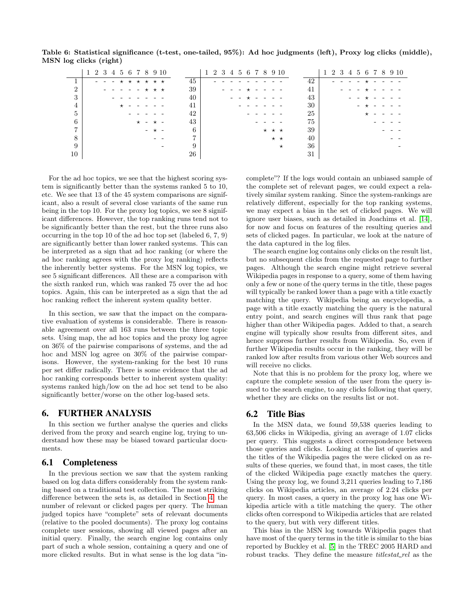Table 6: Statistical significance (t-test, one-tailed, 95%): Ad hoc judgments (left), Proxy log clicks (middle), MSN log clicks (right)

<span id="page-5-1"></span>

|    | 1 2 3 4 5 6 7 8 9 10 |    | 1 2 3 4 5 6 7 8 9 10    | 1 2 3 4 5 6 7 8 9 10 |  |
|----|----------------------|----|-------------------------|----------------------|--|
|    | - - - * * * * * *    | 45 |                         | 42                   |  |
| ച  | $- - - - - + + +$    | 39 |                         | 41                   |  |
| 3  |                      | 40 |                         | 43                   |  |
| 4  |                      | 41 |                         | 30                   |  |
| 5  |                      | 42 |                         | 25<br>$\star$        |  |
| 6  | $\star$ - $\star$ -  | 43 |                         | 75                   |  |
| ⇁  | $ +$ $-$             | 6  | $\star$ $\star$ $\star$ | 39                   |  |
|    |                      |    | $\star$ $\star$         | 40                   |  |
| 9  |                      | 9  | $\star$                 | 36                   |  |
| 10 |                      | 26 |                         | 31                   |  |

For the ad hoc topics, we see that the highest scoring system is significantly better than the systems ranked 5 to 10, etc. We see that 13 of the 45 system comparisons are significant, also a result of several close variants of the same run being in the top 10. For the proxy log topics, we see 8 significant differences. However, the top ranking runs tend not to be significantly better than the rest, but the three runs also occurring in the top 10 of the ad hoc top set (labeled 6, 7, 9) are significantly better than lower ranked systems. This can be interpreted as a sign that ad hoc ranking (or where the ad hoc ranking agrees with the proxy log ranking) reflects the inherently better systems. For the MSN log topics, we see 5 significant differences. All these are a comparison with the sixth ranked run, which was ranked 75 over the ad hoc topics. Again, this can be interpreted as a sign that the ad hoc ranking reflect the inherent system quality better.

In this section, we saw that the impact on the comparative evaluation of systems is considerable. There is reasonable agreement over all 163 runs between the three topic sets. Using map, the ad hoc topics and the proxy log agree on 36% of the pairwise comparisons of systems, and the ad hoc and MSN log agree on 30% of the pairwise comparisons. However, the system-ranking for the best 10 runs per set differ radically. There is some evidence that the ad hoc ranking corresponds better to inherent system quality: systems ranked high/low on the ad hoc set tend to be also significantly better/worse on the other log-based sets.

### <span id="page-5-0"></span>6. FURTHER ANALYSIS

In this section we further analyse the queries and clicks derived from the proxy and search engine log, trying to understand how these may be biased toward particular documents.

#### 6.1 Completeness

In the previous section we saw that the system ranking based on log data differs considerably from the system ranking based on a traditional test collection. The most striking difference between the sets is, as detailed in Section [4,](#page-2-0) the number of relevant or clicked pages per query. The human judged topics have "complete" sets of relevant documents (relative to the pooled documents). The proxy log contains complete user sessions, showing all viewed pages after an initial query. Finally, the search engine log contains only part of such a whole session, containing a query and one of more clicked results. But in what sense is the log data "incomplete"? If the logs would contain an unbiased sample of the complete set of relevant pages, we could expect a relatively similar system ranking. Since the system-rankings are relatively different, especially for the top ranking systems, we may expect a bias in the set of clicked pages. We will ignore user biases, such as detailed in Joachims et al. [\[14\]](#page-7-3), for now and focus on features of the resulting queries and sets of clicked pages. In particular, we look at the nature of the data captured in the log files.

The search engine log contains only clicks on the result list, but no subsequent clicks from the requested page to further pages. Although the search engine might retrieve several Wikipedia pages in response to a query, some of them having only a few or none of the query terms in the title, these pages will typically be ranked lower than a page with a title exactly matching the query. Wikipedia being an encyclopedia, a page with a title exactly matching the query is the natural entry point, and search engines will thus rank that page higher than other Wikipedia pages. Added to that, a search engine will typically show results from different sites, and hence suppress further results from Wikipedia. So, even if further Wikipedia results occur in the ranking, they will be ranked low after results from various other Web sources and will receive no clicks.

Note that this is no problem for the proxy log, where we capture the complete session of the user from the query issued to the search engine, to any clicks following that query, whether they are clicks on the results list or not.

### 6.2 Title Bias

In the MSN data, we found 59,538 queries leading to 63,506 clicks in Wikipedia, giving an average of 1.07 clicks per query. This suggests a direct correspondence between those queries and clicks. Looking at the list of queries and the titles of the Wikipedia pages the were clicked on as results of these queries, we found that, in most cases, the title of the clicked Wikipedia page exactly matches the query. Using the proxy log, we found 3,211 queries leading to 7,186 clicks on Wikipedia articles, an average of 2.24 clicks per query. In most cases, a query in the proxy log has one Wikipedia article with a title matching the query. The other clicks often correspond to Wikipedia articles that are related to the query, but with very different titles.

This bias in the MSN log towards Wikipedia pages that have most of the query terms in the title is similar to the bias reported by Buckley et al. [\[5\]](#page-7-22) in the TREC 2005 HARD and robust tracks. They define the measure *titlestat\_rel* as the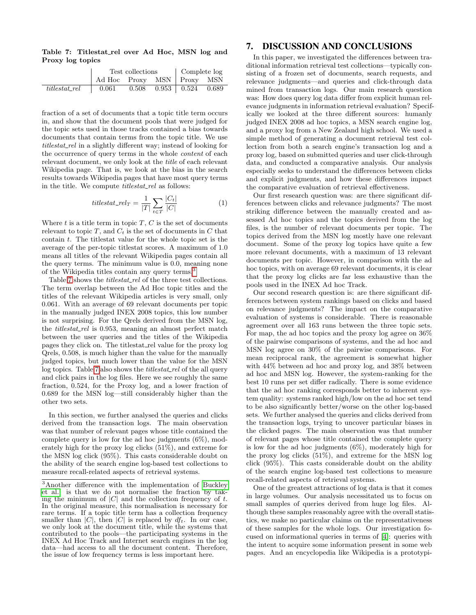<span id="page-6-2"></span>Table 7: Titlestat rel over Ad Hoc, MSN log and Proxy log topics

|               |                              |  | Test collections Complete log |                                 |  |
|---------------|------------------------------|--|-------------------------------|---------------------------------|--|
|               | Ad Hoc Proxy MSN   Proxy MSN |  |                               |                                 |  |
| titlestat_rel | 0.061                        |  |                               | $0.508$ $0.953$ $0.524$ $0.689$ |  |

fraction of a set of documents that a topic title term occurs in, and show that the document pools that were judged for the topic sets used in those tracks contained a bias towards documents that contain terms from the topic title. We use titlestat rel in a slightly different way; instead of looking for the occurrence of query terms in the whole content of each relevant document, we only look at the title of each relevant Wikipedia page. That is, we look at the bias in the search results towards Wikipedia pages that have most query terms in the title. We compute *titlestat\_rel* as follows:

$$
titlestat\_rel_T = \frac{1}{|T|} \sum_{t \in T} \frac{|C_t|}{|C|} \tag{1}
$$

Where  $t$  is a title term in topic  $T, C$  is the set of documents relevant to topic  $T$ , and  $C_t$  is the set of documents in  $C$  that contain  $t$ . The titlestat value for the whole topic set is the average of the per-topic titlestat scores. A maximum of 1.0 means all titles of the relevant Wikipedia pages contain all the query terms. The minimum value is 0.0, meaning none of the Wikipedia titles contain any query terms.<sup>[3](#page-6-1)</sup>

Table [7](#page-6-2) shows the *titlestat\_rel* of the three test collections. The term overlap between the Ad Hoc topic titles and the titles of the relevant Wikipedia articles is very small, only 0.061. With an average of 69 relevant documents per topic in the manually judged INEX 2008 topics, this low number is not surprising. For the Qrels derived from the MSN log, the *titlestat\_rel* is 0.953, meaning an almost perfect match between the user queries and the titles of the Wikipedia pages they click on. The titlestat rel value for the proxy log Qrels, 0.508, is much higher than the value for the manually judged topics, but much lower than the value for the MSN log topics. Table [7](#page-6-2) also shows the *titlestat\_rel* of the all query and click pairs in the log files. Here we see roughly the same fraction, 0.524, for the Proxy log, and a lower fraction of 0.689 for the MSN log—still considerably higher than the other two sets.

In this section, we further analysed the queries and clicks derived from the transaction logs. The main observation was that number of relevant pages whose title contained the complete query is low for the ad hoc judgments (6%), moderately high for the proxy log clicks (51%), and extreme for the MSN log click (95%). This casts considerable doubt on the ability of the search engine log-based test collections to measure recall-related aspects of retrieval systems.

# <span id="page-6-0"></span>7. DISCUSSION AND CONCLUSIONS

In this paper, we investigated the differences between traditional information retrieval test collections—typically consisting of a frozen set of documents, search requests, and relevance judgments—and queries and click-through data mined from transaction logs. Our main research question was: How does query log data differ from explicit human relevance judgments in information retrieval evaluation? Specifically we looked at the three different sources: humanly judged INEX 2008 ad hoc topics, a MSN search engine log, and a proxy log from a New Zealand high school. We used a simple method of generating a document retrieval test collection from both a search engine's transaction log and a proxy log, based on submitted queries and user click-through data, and conducted a comparative analysis. Our analysis especially seeks to understand the differences between clicks and explicit judgments, and how these differences impact the comparative evaluation of retrieval effectiveness.

Our first research question was: are there significant differences between clicks and relevance judgments? The most striking difference between the manually created and assessed Ad hoc topics and the topics derived from the log files, is the number of relevant documents per topic. The topics derived from the MSN log mostly have one relevant document. Some of the proxy log topics have quite a few more relevant documents, with a maximum of 13 relevant documents per topic. However, in comparison with the ad hoc topics, with on average 69 relevant documents, it is clear that the proxy log clicks are far less exhaustive than the pools used in the INEX Ad hoc Track.

Our second research question is: are there significant differences between system rankings based on clicks and based on relevance judgments? The impact on the comparative evaluation of systems is considerable. There is reasonable agreement over all 163 runs between the three topic sets. For map, the ad hoc topics and the proxy log agree on 36% of the pairwise comparisons of systems, and the ad hoc and MSN log agree on 30% of the pairwise comparisons. For mean reciprocal rank, the agreement is somewhat higher with 44% between ad hoc and proxy log, and 38% between ad hoc and MSN log. However, the system-ranking for the best 10 runs per set differ radically. There is some evidence that the ad hoc ranking corresponds better to inherent system quality: systems ranked high/low on the ad hoc set tend to be also significantly better/worse on the other log-based sets. We further analysed the queries and clicks derived from the transaction logs, trying to uncover particular biases in the clicked pages. The main observation was that number of relevant pages whose title contained the complete query is low for the ad hoc judgments (6%), moderately high for the proxy log clicks (51%), and extreme for the MSN log click (95%). This casts considerable doubt on the ability of the search engine log-based test collections to measure recall-related aspects of retrieval systems.

One of the greatest attractions of log data is that it comes in large volumes. Our analysis necessitated us to focus on small samples of queries derived from huge log files. Although these samples reasonably agree with the overall statistics, we make no particular claims on the representativeness of these samples for the whole logs. Our investigation focused on informational queries in terms of [\[4\]](#page-7-7): queries with the intent to acquire some information present in some web pages. And an encyclopedia like Wikipedia is a prototypi-

<span id="page-6-1"></span><sup>3</sup>Another difference with the implementation of [Buckley](#page-7-22) [et al.](#page-7-22) is that we do not normalise the fraction by taking the minimum of  $|C|$  and the collection frequency of t. In the original measure, this normalisation is necessary for rare terms. If a topic title term has a collection frequency smaller than  $|C|$ , then  $|C|$  is replaced by  $df_t$ . In our case, we only look at the document title, while the systems that contributed to the pools—the participating systems in the INEX Ad Hoc Track and Internet search engines in the log data—had access to all the document content. Therefore, the issue of low frequency terms is less important here.